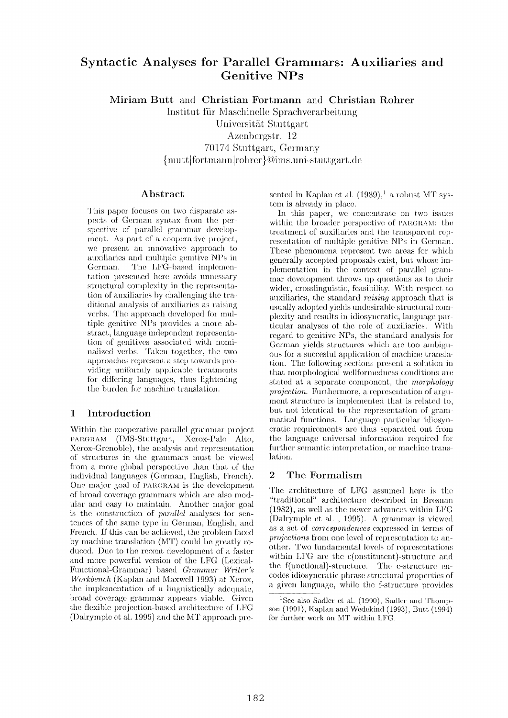# **Syntactic Analyses for Parallel Grammars: Auxiliaries and Genitive NPs**

**Miriam Butt and Christian Fortmann and Christian Rohrer** 

Institut für Maschinelle Sprachverarbeitung Universität Stuttgart Azenbergstr. 12 70174 Stuttgart, Germany  ${$ rmutt | for <math>l</math> number } @ims. uni-stuttgart.de

## **Abstract**

This paper focuses on two disparate aspects of German syntax from the perspective of parallel grammar development. As part of a cooperative project, we present an innovative approach to auxiliaries and multiple genitive NPs in German. The LFG-based implementation presented here avoids unnessary structural complexity in the representation of auxiliaries by challenging the traditional analysis of auxiliaries as raising verbs. The approach developed for multiple genitive NPs provides a more ab**straet,** language independent representation of genitives associated with nominalized verbs. Taken together, the two approaches represent a step towards providing uniformly applicable treatments for differing languages, thus lightening the burden for machine translation.

# **1 Introduction**

Within the cooperative parallel grammar project PARGRAM (IMS-Stuttgart, Xerox-Pale Alto, Xerox-Grenoble), the analysis and representation of structures in the grammars must be viewed from a more global perspective than that of the individual languages (German, English, French). One major goal of PARGRAM is the development of broad coverage grammars which are also modular and easy to maintain. Another major goal is the construction of *parallel* analyses for sentences of the same type in German, English, and French. If this can be achieved, the problem faced by machine translation  $(MT)$  could be greatly reduced. Due to the recent development of a faster and more powerful version of the LFG (Lexical-Functional-Grammar) based *Grammar Writer's Workbench* (Kaplan and Maxwell 1993) at Xerox, the implementation of a linguistically adequate, broad coverage grammar appears viable. Given the flexible projection-based architecture of LFG (Dalrymple et al. 1995) and the MT approach presented in Kaplan et al.  $(1989)^{1}$  a robust MT system is already in place.

In this paper, we concentrate on two issues within the broader perspective of PARGRAM: the treatment of auxiliaries and the transparent representation of multiple genitive NPs in German. These phenomena represent two areas for which generally accepted proposals exist, but, whose implementation in the context of parallel grammar development throws up questions as to their wider, crosslinguistic, feasibility. With respect to auxiliaries, the standard *raising* approach that is usually adopted yields undesirable structural **complexity** and results in idiosyncratic, language particular analyses of the role of auxiliaries. With regard to genitive NPs, the standard analysis for German yields structures which are too ambiguous for a succesful application of machine translation. The following sections present a solution in that morphological wellformedness conditions are. stated at a separate component, the *morphology projection.* Furthermore, a representation of argument structure is implemented that is related to, but not identical to the representation of grammatical functions. Language particular idiosyncratic requirements are thus separated out from the language universal information required for further semantic interpretation, or machine translation.

# **2** The Formalism

The architecture of LFG assumed here is the "traditional" architecture described in Bresnan (1982), as well as the newer advances within LFG (Dalrymple et al., 1995). A grammar is viewed as a set of *correspondences* expressed in terms of *projections* from one level of representation to another. Two fundamental levels of representations within LFG are the c(onstitutent)-structure and the f(unctional)-structure. The c-structure encodes idiosyncratic phrase structural properties of a given language, while the f-structure provides

<sup>&</sup>lt;sup>1</sup>See also Sadler et al. (1990), Sadler and Thompson (1991), Kaplan and Wedekind (1993), Butt (1994) for further work on MT within LFG.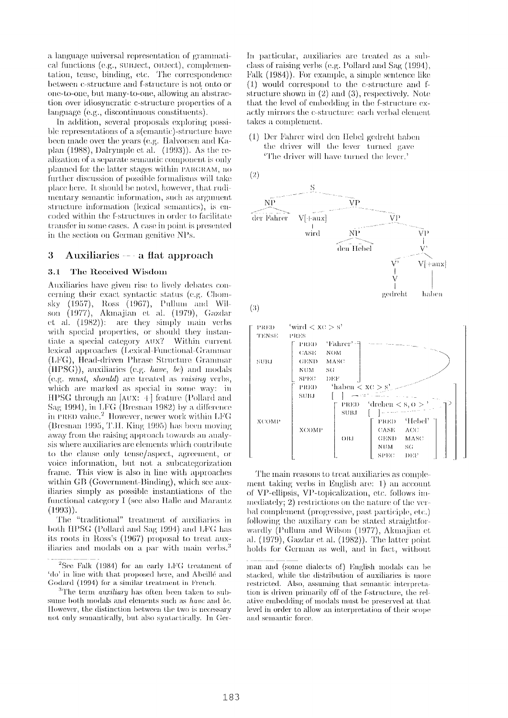a language universal representation of grammatical functions (e.g., subject, OBject), complementation, tense, binding, etc. The correspondence between c-structure and f-structure is not onto or one-to-one, but many-to-one, allowing an abstraction over idiosyncratic c-structure properties of a language (e.g., discontinuous constituents).

In addition, several proposals exploring possible representations of a s(emantic)-structure have been made over the years (e.g. Halvorsen and Kaplan  $(1988)$ , Dalrymple et al.  $(1993)$ ). As the realization of a separate semantic component is only planned for the latter stages within PARGRAM, no further discussion of possible formalisms will take place here. It should be noted, however, that rudimentary semantic information, such as argument structure information (lexical semantics), is encoded within the f-structures in order to facilitate transfer in some cases. A case in point is presented in the section on German genitive NPs.

#### 3 Auxiliaries  $-$  a flat approach

#### The Received Wisdom  $3.1$

Auxiliaries have given rise to lively debates concerning their exact syntactic status (e.g. Chomsky (1957), Ross (1967), Pullum and Wilson (1977), Akmajian et al. (1979), Gazdar et al. (1982)): are they simply main verbs with special properties, or should they instantiate a special category AUX? Within current lexical approaches (Lexical-Functional-Grammar (LFG), Head-driven Phrase Structure Grammar  $(HPSG)$ , auxiliaries (e.g. *have*, *be*) and modals  $(e.g. must, should) are treated as raising verbs,$ which are marked as special in some way: in HPSG through an [AUX: +] feature (Pollard and<br>Sag 1994), in LFG (Bresnan 1982) by a difference in PRED value.<sup>2</sup> However, newer work within LFG (Bresnan 1995, T.H. King 1995) has been moving away from the raising approach towards an analysis where auxiliaries are elements which contribute to the clause only tense/aspect, agreement, or voice information, but not a subcategorization frame. This view is also in line with approaches within GB (Government-Binding), which see auxiliaries simply as possible instantiations of the functional category I (see also Halle and Marantz  $(1993)$ .

The "traditional" treatment of auxiliaries in both HPSG (Pollard and Sag 1994) and LFG has its roots in Ross's (1967) proposal to treat auxiliaries and modals on a par with main verbs.<sup>3</sup> In particular, auxiliaries are treated as a subclass of raising verbs (e.g. Pollard and Sag (1994), Falk (1984)). For example, a simple sentence like  $(1)$  would correspond to the c-structure and fstructure shown in  $(2)$  and  $(3)$ , respectively. Note that the level of embedding in the f-structure exactly mirrors the c-structure: each verbal element takes a complement.

(1) Der Fahrer wird den Hebel gedreht haben the driver will the lever turned gave The driver will have turned the lever.'



The main reasons to treat auxiliaries as complement taking verbs in English are: 1) an account of VP-ellipsis, VP-topicalization, etc. follows immediately; 2) restrictions on the nature of the verbal complement (progressive, past participle, etc.) following the auxiliary can be stated straightforwardly (Pullum and Wilson (1977), Akmajian et al.  $(1979)$ , Gazdar et al.  $(1982)$ ). The latter point holds for German as well, and in fact, without

 ${}^{2}$ See Falk (1984) for an early LFG treatment of 'do' in line with that proposed here, and Abeillé and Godard (1994) for a similar treatment in French.

 ${}^{3}$ The term *auxiliary* has often been taken to subsume both modals and elements such as have and be. However, the distinction between the two is necessary not only semantically, but also syntactically. In Ger-

man and (some dialects of) English modals can be stacked, while the distribution of auxiliaries is more restricted. Also, assuming that semantic interpretation is driven primarily off of the f-structure, the relative embedding of modals must be preserved at that level in order to allow an interpretation of their scope and semantic force.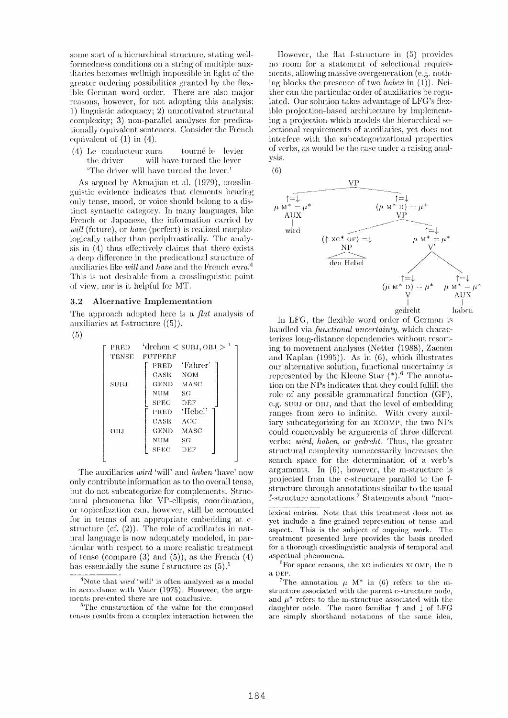some sort of a hierarchical structure, stating wellformedness conditions on a string of multiple auxiliaries becomes well night impossible in light of the greater ordering possibilities granted by the flexible German word order. There are also major reasons, however, for not adopting this analysis: 1) linguistic adequacy; 2) unmotivated structural complexity; 3) non-parallel analyses for predicationally equivalent sentences. Consider the French equivalent of  $(1)$  in  $(4)$ .

 $(4)$  Le conducteur aura tourné le levier will have turned the lever the driver 'The driver will have turned the lever.'

As argued by Akmajian et al. (1979), crosslinguistic evidence indicates that elements bearing only tense, mood, or voice should belong to a distinct syntactic category. In many languages, like French or Japanese, the information carried by *will* (future), or *have* (perfect) is realized morphologically rather than periphrastically. The analysis in (4) thus effectively claims that there exists a deep difference in the predicational structure of auxiliaries like will and have and the French aura.<sup>4</sup> This is not desirable from a crosslinguistic point of view, nor is it helpful for MT.

#### $3.2$ Alternative Implementation

The approach adopted here is a *flat* analysis of auxiliaries at f-structure  $((5))$ .

 $(5)$ 

| PRED-       | 'drehen $<$ SUBJ, OBJ $>$ ' |
|-------------|-----------------------------|
| TENSE       | FUTPERF                     |
| <b>SUBJ</b> | 'Fahrer'<br>PRED            |
|             | CASE -<br><b>NOM</b>        |
|             | GEND MASC                   |
|             | NUM-<br>SG                  |
|             | ${\rm SPEC}$<br>DEF         |
|             | 'Hebel'<br>PRED-            |
| OBJ         | CASE<br>ACC                 |
|             | MASC<br>GEND                |
|             | NUM<br>SG                   |
|             | ${\rm SPEC}$ .<br>DEF       |
|             |                             |

The auxiliaries *wird* 'will' and *haben* 'have' now only contribute information as to the overall tense. but do not subcategorize for complements. Structural phenomena like VP-ellipsis, coordination. or topicalization can, however, still be accounted for in terms of an appropriate embedding at cstructure (cf.  $(2)$ ). The role of auxiliaries in natural language is now adequately modeled, in particular with respect to a more realistic treatment of tense (compare  $(3)$  and  $(5)$ ), as the French  $(4)$ has essentially the same f-structure as  $(5)$ .<sup>5</sup>

However, the flat f-structure in (5) provides no room for a statement of selectional requirements, allowing massive overgeneration (e.g. nothing blocks the presence of two haben in  $(1)$ ). Neither can the particular order of auxiliaries be regulated. Our solution takes advantage of LFG's flexible projection-based architecture by implementing a projection which models the hierarchical selectional requirements of auxiliaries, yet does not interfere with the subcategorizational properties of verbs, as would be the case under a raising analysis.

 $(6)$ 



In LFG, the flexible word order of German is handled via *functional uncertainty*, which characterizes long-distance dependencies without resorting to movement analyses (Netter (1988), Zaenen and Kaplan  $(1995)$ ). As in  $(6)$ , which illustrates our alternative solution, functional uncertainty is represented by the Kleene Star  $(*)$ . The annotation on the NPs indicates that they could fulfill the role of any possible grammatical function (GF), e.g. SUBJ or OBJ, and that the level of embedding ranges from zero to infinite. With every auxiliary subcategorizing for an XCOMP, the two NPs could conceivably be arguments of three different verbs: wird, haben, or gedreht. Thus, the greater structural complexity unnecessarily increases the search space for the determination of a verb's arguments. In  $(6)$ , however, the m-structure is projected from the c-structure parallel to the fstructure through annotations similar to the usual f-structure annotations.<sup>7</sup> Statements about "mor-

lexical entries. Note that this treatment does not as yet include a fine-grained represention of tense and aspect. This is the subject of ongoing work. The treatment presented here provides the basis needed for a thorough crosslinguistic analysis of temporal and aspectual phenomena.

 $6$ For space reasons, the  $xc$  indicates  $xc$ OMP, the D a DEP.

<sup>7</sup>The annotation  $\mu$  M<sup>\*</sup> in (6) refers to the mstructure associated with the parent c-structure node, and  $\mu^*$  refers to the m-structure associated with the daughter node. The more familiar  $\uparrow$  and  $\downarrow$  of LFG are simply shorthand notations of the same idea,

<sup>&</sup>lt;sup>4</sup>Note that *wird* 'will' is often analyzed as a modal in accordance with Vater (1975). However, the arguments presented there are not conclusive.

<sup>&</sup>lt;sup>5</sup>The construction of the value for the composed tenses results from a complex interaction between the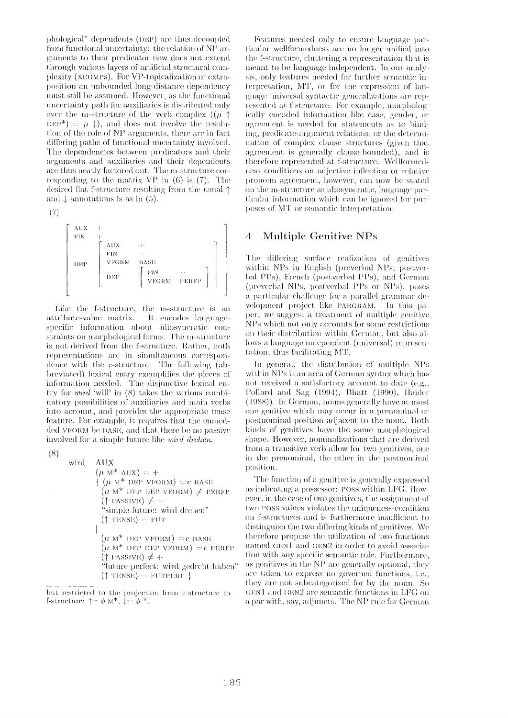phological" dependents (DEP) are thus decoupled from functional uncertainty: the relation of NP arguments to their predicator now does not extend through various layers of artificial structural complexity (XCOMPs). For VP-topicalization or extraposition an unbounded long-distance dependency must still be assumed. However, as the functional uncertainty path for auxiliaries is distributed only over the m-structure of the verb complex  $((\mu \uparrow$  $DEF^*) = \mu \downarrow$ , and does not involve the resolution of the role of NP arguments, there are in fact differing paths of functional uncertainty involved. The dependencies between predicators and their arguments and auxiliaries and their dependents are thus neatly factored out. The m-structure corresponding to the matrix  $VP$  in (6) is (7). The desired flat f-structure resulting from the usual  $\uparrow$ and  $\downarrow$  annotations is as in (5).

$$
(7)
$$

AUX FIN.  $A$ UX FIN. **VFORM RASE** DEP  $_{\rm{FIN}}$ DEP VFORM

Like the f-structure, the m-structure is an attribute-value matrix. It encodes languagespecific information about idiosyncratic constraints on morphological forms. The m-structure is not derived from the f-structure. Rather, both representations are in simultaneous correspondence with the c-structure. The following (abbreviated) lexical entry exemplifies the pieces of information needed. The disjunctive lexical entry for  $wind$  'will' in  $(8)$  takes the various combinatory possibilities of auxiliaries and main verbs into account, and provides the appropriate tense feature. For example, it requires that the embedded VFORM be BASE, and that there be no passive involved for a simple future like *wird drehen*.

 $(8)$ 

 $\Lambda$ UX wird  $(\mu M^* AUX) = +$  $\int (\mu M^*)$  DEP VFORM) = c BASE  $(\mu M^*$  DEP DEP VFORM)  $\neq$  PERFP  $(\uparrow$  PASSIVE)  $\neq +$ "simple future: wird drehen"  $(\uparrow$  TENSE) = FUT  $(\mu M^*$  DEP VFORM) = c BASE  $(\mu M^*$  DEP DEP VFORM) = c PERFP  $(\uparrow$  PASSIVE)  $\neq +$ "future perfect: wird gedreht haben"  $(\uparrow \text{TENSE}) = \text{FUTPERF}$ 

but restricted to the projection from c-structure to **f**-structure:  $\uparrow = \phi \wedge^*$ ,  $\downarrow = \phi^*$ .

Features needed only to ensure language particular wellformedness are no longer unified into the f-structure, cluttering a representation that is meant to be language independent. In our analysis, only features needed for further semantic interpretation, MT, or for the expression of language universal syntactic generalizations are represented at f-structure. For example, morphologically encoded information like case, gender, or agreement is needed for statements as to binding, predicate-argument relations, or the determination of complex clause structures (given that agreement is generally clause-bounded), and is therefore represented at f-structure. Wellformedness conditions on adjective inflection or relative pronoun agreement, however, can now be stated on the m-structure as idiosyncratic, language particular information which can be ignored for purposes of MT or semantic interpretation.

#### 4 Multiple Genitive NPs

The differing surface realization of genitives within NPs in English (preverbal NPs, postverbal PPs), French (postverbal PPs), and German (preverbal NPs, postverbal PPs or NPs), poses a particular challenge for a parallel grammar development project like PARGRAM. In this paper, we suggest a treatment of multiple genitive NPs which not only accounts for some restrictions on their distribution within German, but also allows a language independent (universal) representation, thus facilitating MT.

In general, the distribution of multiple NPs within NPs is an area of German syntax which has not received a satisfactory account to date (e.g., Pollard and Sag (1994), Bhatt (1990), Haider (1988)). In German, nouns generally have at most one genitive which may occur in a prenominal or postnominal position adjacent to the noun. Both kinds of genitives have the same morphological shape. However, nominalizations that are derived from a transitive verb allow for two genitives, one in the prenominal, the other in the postnominal position.

The function of a genitive is generally expressed as indicating a possessor: POSS within LFG. However, in the case of two genitives, the assignment of two POSS values violates the uniqueness-condition on f-structures and is furthermore insufficient to distinguish the two differing kinds of genitives. We therefore propose the utilization of two functions named GEN1 and GEN2 in order to avoid association with any specific semantic role. Furthermore, as genitives in the NP are generally optional, they are taken to express no governed functions, i.e., they are not subcategorized for by the noun. So  $\tt GEN1$  and  $\tt GEN2$  are semantic functions in LFG on a par with, say, adjuncts. The NP rule for German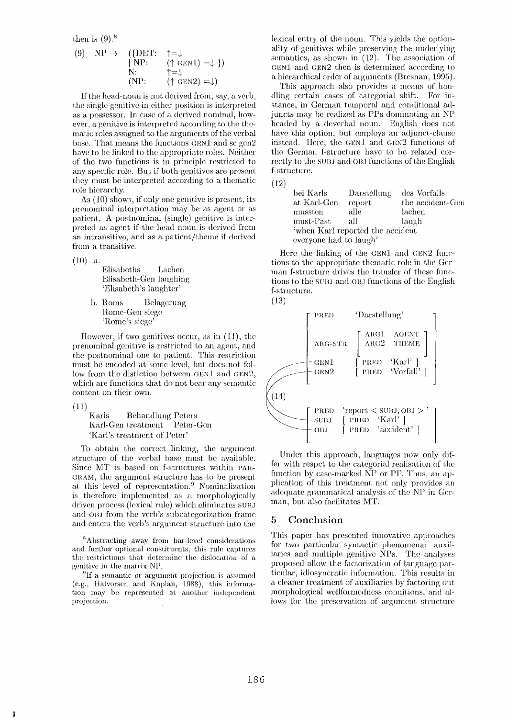**then is (9). 8** 

(9) NP 
$$
\rightarrow
$$
 ({DET:  $\uparrow = \downarrow$   
| NP: ( $\uparrow$  GEN1) =  $\downarrow$  })  
\nN:  $\uparrow = \downarrow$   
\n(NP: ( $\uparrow$  GEN2) =  $\downarrow$ )

If the head-noun is not derived from, say, a verb, the single genitive in either position is interpreted as a possessor. In case of a derived nominal, however, a genitive is interpreted according to the thematic roles assigned to the arguments of the verbal base. That means the functions GEN1 and sc gen2 have to be linked to the appropriate roles. Neither of the two functions is in principle restricted to any specific role. But if both genitives are present they must be interpreted according to a thematic role hierarchy.

As (10) shows, if only one genitive is present, its prenominal interpretation may be as agent or as patient. A postnominal (single) genitive is interpreted as agent if the head noun is derived from an intransitive, and as a patient/theme if derived from a transitive.

 $(10)$  a.

Elisabeths Lachen Elisabeth-Gen laughing 'Elisabeth's laughter'

b. Roms Belagerung Rome-Gen siege 'Rome's siege'

However, if two genitives occur, as in (11), the prenominal genitive is restricted to an agent, and the postnominal one to patient. This restriction must be encoded at some level, but does not follow from the distiction between  $GEM1$  and  $GEN2$ , which are functions that do not bear any semantic content on their own.

(11)

Karls Behandlung Peters Karl-Gen treatment Peter-Gen 'Karl's treatment of Peter'

To obtain the correct linking, the argument structure of the verbal base must be available. Since MT is based on f-structures within PAR-GRAM, the argument structure has to be present at this level of representation.<sup>9</sup> Nominalization is therefore implemented as a morphologically driven process (lexical rule) which eliminates subj and OBJ from the verb's subcategorization frame and enters the verb's argument structure into the

lexical entry of the noun. This yields the optionality of genitives while preserving the underlying semantics, as shown in (12). The association of CEN1 and GEN2 then is determined according to a hierarchical order of arguments (Bresnan, 1995).

This approach also provides a means of handling certain cases of categorial shift. For instance, in German temporal and conditional adjuncts may be realized as PPs dominating an NP headed by a deverbal noun. English does not have this option, but employs an adjunct-clause instead. Here, the GEN1 and GEN2 functions of the German f-structure have to be related correctly to the SUBJ and OBJ functions of the English f-structure.

 $(12)$ 

| bei Karls              | Darstellung                      | des Vorfalls     |
|------------------------|----------------------------------|------------------|
| at Karl-Gen            | report                           | the accident-Gen |
| mussten                | alle                             | lachen           |
| must-Past              | all                              | laugh            |
|                        | 'when Karl reported the accident |                  |
| everyone had to laugh' |                                  |                  |

Here the linking of the GEN1 and  $GEN2$  functions to the appropriate thematic rote in the German f-structure drives the transfer of these functions to the SUBJ and OBJ functions of the English f-structure.





Under this approach, languages now only differ with respct to the categorial realisation of the function by case-marked  $\overline{NP}$  or PP. Thus, an application of this treatment not only provides an adequate grammatical analysis of the NP in Ger man, but also facilitates MT.

# **5 Conclusion**

This paper has presented innovative approaches for two particular syntactic phenomena: auxiliaries and multiple genitive NPs. The analyses proposed allow the factorization of language partieular, idiosyncratic information. This results in a cleaner treatment of auxiliaries by factoring out morphological wellformedness conditions, and allows for the preservation of argument structure

 $8A$ bstracting away from bar-level considerations and further optional constituents, this rule captures the restrictions that determine the dislocation of a genitive in the matrix NP.

 ${}^{9}$ If a semantic or argument projection is assumed (e.g., Halvorsen and Kaplan, 1988), this information may be represented at another independent projection.